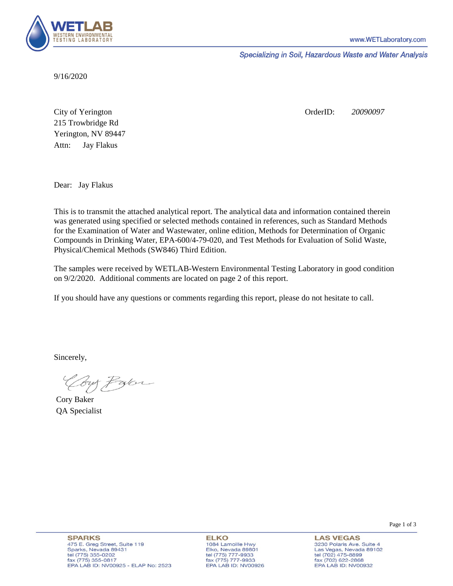

Specializing in Soil, Hazardous Waste and Water Analysis

9/16/2020

Attn: City of Yerington 215 Trowbridge Rd Jay Flakus Yerington, NV 89447 OrderID: *20090097*

Dear: Jay Flakus

This is to transmit the attached analytical report. The analytical data and information contained therein was generated using specified or selected methods contained in references, such as Standard Methods for the Examination of Water and Wastewater, online edition, Methods for Determination of Organic Compounds in Drinking Water, EPA-600/4-79-020, and Test Methods for Evaluation of Solid Waste, Physical/Chemical Methods (SW846) Third Edition.

The samples were received by WETLAB-Western Environmental Testing Laboratory in good condition on 9/2/2020. Additional comments are located on page 2 of this report.

If you should have any questions or comments regarding this report, please do not hesitate to call.

Sincerely,

Your Parce

Cory Baker QA Specialist

Page 1 of 3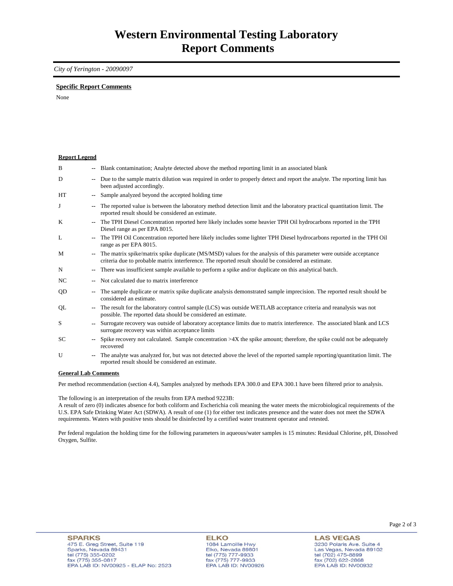*City of Yerington - 20090097* 

#### **Specific Report Comments**

None

### **Report Legend**

| B         |        | -- Blank contamination; Analyte detected above the method reporting limit in an associated blank                                                                                                                          |
|-----------|--------|---------------------------------------------------------------------------------------------------------------------------------------------------------------------------------------------------------------------------|
| D         |        | -- Due to the sample matrix dilution was required in order to properly detect and report the analyte. The reporting limit has<br>been adjusted accordingly.                                                               |
| HT        |        | Sample analyzed beyond the accepted holding time                                                                                                                                                                          |
| J         |        | The reported value is between the laboratory method detection limit and the laboratory practical quantitation limit. The<br>reported result should be considered an estimate.                                             |
| K         |        | The TPH Diesel Concentration reported here likely includes some heavier TPH Oil hydrocarbons reported in the TPH<br>Diesel range as per EPA 8015.                                                                         |
| L         |        | The TPH Oil Concentration reported here likely includes some lighter TPH Diesel hydrocarbons reported in the TPH Oil<br>range as per EPA 8015.                                                                            |
| M         | $\sim$ | The matrix spike/matrix spike duplicate (MS/MSD) values for the analysis of this parameter were outside acceptance<br>criteria due to probable matrix interference. The reported result should be considered an estimate. |
| N         |        | There was insufficient sample available to perform a spike and/or duplicate on this analytical batch.                                                                                                                     |
| NC.       |        | Not calculated due to matrix interference                                                                                                                                                                                 |
| QD        |        | The sample duplicate or matrix spike duplicate analysis demonstrated sample imprecision. The reported result should be<br>considered an estimate.                                                                         |
| QL        |        | The result for the laboratory control sample (LCS) was outside WETLAB acceptance criteria and reanalysis was not<br>possible. The reported data should be considered an estimate.                                         |
| S         | $- -$  | Surrogate recovery was outside of laboratory acceptance limits due to matrix interference. The associated blank and LCS<br>surrogate recovery was within acceptance limits                                                |
| <b>SC</b> |        | Spike recovery not calculated. Sample concentration $>4X$ the spike amount; therefore, the spike could not be adequately<br>recovered                                                                                     |
| U         |        | The analyte was analyzed for, but was not detected above the level of the reported sample reporting/quantitation limit. The<br>reported result should be considered an estimate.                                          |
|           |        |                                                                                                                                                                                                                           |

## **General Lab Comments**

Per method recommendation (section 4.4), Samples analyzed by methods EPA 300.0 and EPA 300.1 have been filtered prior to analysis.

The following is an interpretation of the results from EPA method 9223B:

A result of zero (0) indicates absence for both coliform and Escherichia coli meaning the water meets the microbiological requirements of the U.S. EPA Safe Drinking Water Act (SDWA). A result of one (1) for either test indicates presence and the water does not meet the SDWA requirements. Waters with positive tests should be disinfected by a certified water treatment operator and retested.

Per federal regulation the holding time for the following parameters in aqueous/water samples is 15 minutes: Residual Chlorine, pH, Dissolved Oxygen, Sulfite.

# **ELKO**

1084 Lamoille Hwy<br>Elko, Nevada 89801 EIKO, Nevada 8980<br>tel (775) 777-9933<br>fax (775) 777-9933 EPA LAB ID: NV00926

**LAS VEGAS** 3230 Polaris Ave. Suite 4<br>Las Vegas, Nevada 89102<br>tel (702) 475-8899 fax (702) 622-2868 EPA LAB ID: NV00932

Page 2 of 3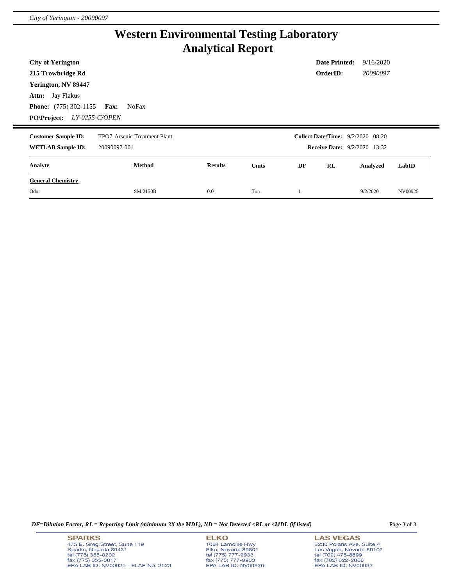# **Western Environmental Testing Laboratory Analytical Report**

| <b>City of Yerington</b>       |                              |                |              |    | <b>Date Printed:</b>                     | 9/16/2020 |       |
|--------------------------------|------------------------------|----------------|--------------|----|------------------------------------------|-----------|-------|
| 215 Trowbridge Rd              |                              |                |              |    | OrderID:                                 | 20090097  |       |
| Yerington, NV 89447            |                              |                |              |    |                                          |           |       |
| <b>Attn:</b> Jay Flakus        |                              |                |              |    |                                          |           |       |
| <b>Phone:</b> $(775)$ 302-1155 | <b>Fax:</b><br>NoFax         |                |              |    |                                          |           |       |
| <b>PO\Project:</b>             | LY-0255-C/OPEN               |                |              |    |                                          |           |       |
|                                |                              |                |              |    |                                          |           |       |
| <b>Customer Sample ID:</b>     | TPO7-Arsenic Treatment Plant |                |              |    | <b>Collect Date/Time:</b> 9/2/2020 08:20 |           |       |
| <b>WETLAB Sample ID:</b>       | 20090097-001                 |                |              |    | <b>Receive Date:</b> 9/2/2020 13:32      |           |       |
| Analyte                        | Method                       | <b>Results</b> | <b>Units</b> | DF | RL                                       | Analyzed  | LabID |
| <b>General Chemistry</b>       |                              |                |              |    |                                          |           |       |

*DF=Dilution Factor, RL = Reporting Limit (minimum 3X the MDL), ND = Not Detected <RL or <MDL (if listed)* Page 3 of 3

## **SPARKS** 475 E. Greg Street, Suite 119<br>Sparks, Nevada 89431 tel (775) 355-0202 fax (775) 355-0817<br>EPA LAB ID: NV00925 - ELAP No: 2523

## **ELKO**

1084 Lamoille Hwy<br>Elko, Nevada 89801 tel (775) 777-9933<br>fax (775) 777-9933<br>EPA LAB ID: NV00926